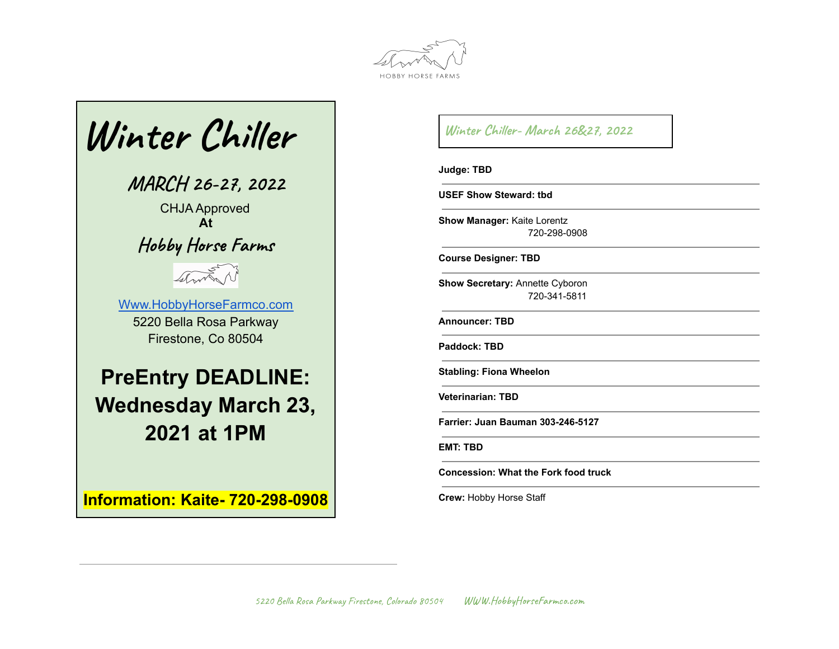



**Information: Kaite- 720-298-0908**

**Winter Chiller- March 26&27, 2022**

**Judge: TBD**

**USEF Show Steward: tbd**

**Show Manager:** Kaite Lorentz 720-298-0908

**Course Designer: TBD**

**Show Secretary:** Annette Cyboron 720-341-5811

**Announcer: TBD**

**Paddock: TBD**

**Stabling: Fiona Wheelon**

**Veterinarian: TBD**

**Farrier: Juan Bauman 303-246-5127**

**EMT: TBD**

**Concession: What the Fork food truck**

**Crew:** Hobby Horse Staff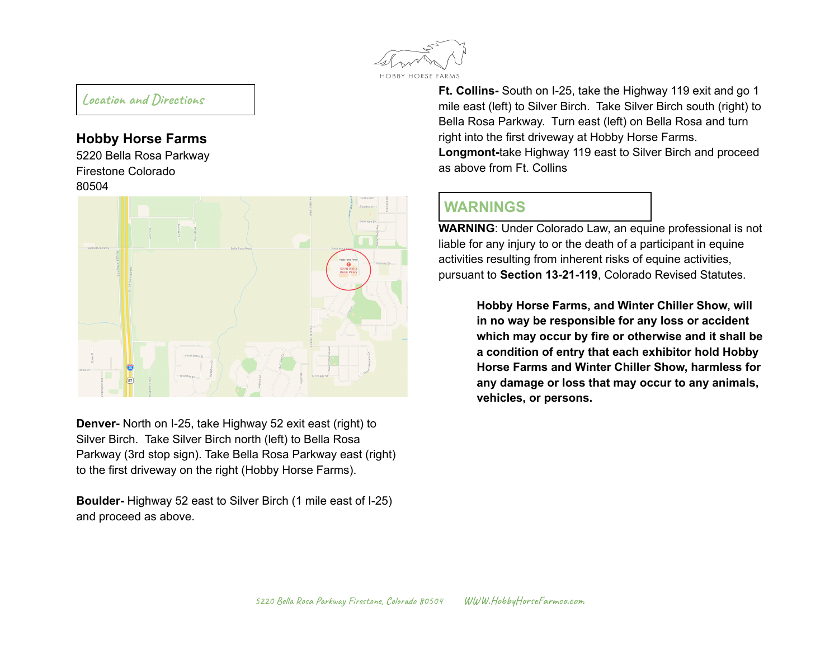

### **Location and Directions**

### **Hobby Horse Farms**

5220 Bella Rosa Parkway Firestone Colorado 80504



**Denver-** North on I-25, take Highway 52 exit east (right) to Silver Birch. Take Silver Birch north (left) to Bella Rosa Parkway (3rd stop sign). Take Bella Rosa Parkway east (right) to the first driveway on the right (Hobby Horse Farms).

**Boulder-** Highway 52 east to Silver Birch (1 mile east of I-25) and proceed as above.

**Ft. Collins-** South on I-25, take the Highway 119 exit and go 1 mile east (left) to Silver Birch. Take Silver Birch south (right) to Bella Rosa Parkway. Turn east (left) on Bella Rosa and turn right into the first driveway at Hobby Horse Farms. **Longmont-**take Highway 119 east to Silver Birch and proceed as above from Ft. Collins

# **WARNINGS**

**WARNING**: Under Colorado Law, an equine professional is not liable for any injury to or the death of a participant in equine activities resulting from inherent risks of equine activities, pursuant to **Section 13-21-119**, Colorado Revised Statutes.

> **Hobby Horse Farms, and Winter Chiller Show, will in no way be responsible for any loss or accident which may occur by fire or otherwise and it shall be a condition of entry that each exhibitor hold Hobby Horse Farms and Winter Chiller Show, harmless for any damage or loss that may occur to any animals, vehicles, or persons.**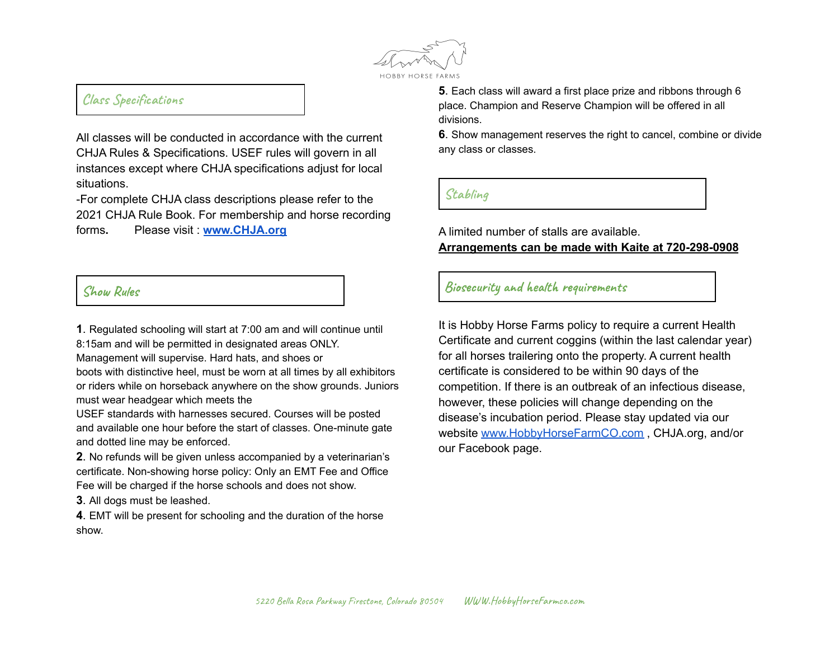

## **Class Specifications**

All classes will be conducted in accordance with the current CHJA Rules & Specifications. USEF rules will govern in all instances except where CHJA specifications adjust for local situations.

-For complete CHJA class descriptions please refer to the 2021 CHJA Rule Book. For membership and horse recording forms**.** Please visit : **www.CHJA.org**

#### **Show Rules**

**1**. Regulated schooling will start at 7:00 am and will continue until

8:15am and will be permitted in designated areas ONLY.

Management will supervise. Hard hats, and shoes or

boots with distinctive heel, must be worn at all times by all exhibitors or riders while on horseback anywhere on the show grounds. Juniors must wear headgear which meets the

USEF standards with harnesses secured. Courses will be posted and available one hour before the start of classes. One-minute gate and dotted line may be enforced.

**2**. No refunds will be given unless accompanied by a veterinarian's certificate. Non-showing horse policy: Only an EMT Fee and Office Fee will be charged if the horse schools and does not show.

**3**. All dogs must be leashed.

**4**. EMT will be present for schooling and the duration of the horse show.

**5**. Each class will award a first place prize and ribbons through 6 place. Champion and Reserve Champion will be offered in all divisions.

**6**. Show management reserves the right to cancel, combine or divide any class or classes.

### **Stabling**

A limited number of stalls are available. **Arrangements can be made with Kaite at 720-298-0908**

**Biosecurity and health requirements**

It is Hobby Horse Farms policy to require a current Health Certificate and current coggins (within the last calendar year) for all horses trailering onto the property. A current health certificate is considered to be within 90 days of the competition. If there is an outbreak of an infectious disease, however, these policies will change depending on the disease's incubation period. Please stay updated via our website [www.HobbyHorseFarmCO.com](http://www.hobbyhorsefarmco.com) , CHJA.org, and/or our Facebook page.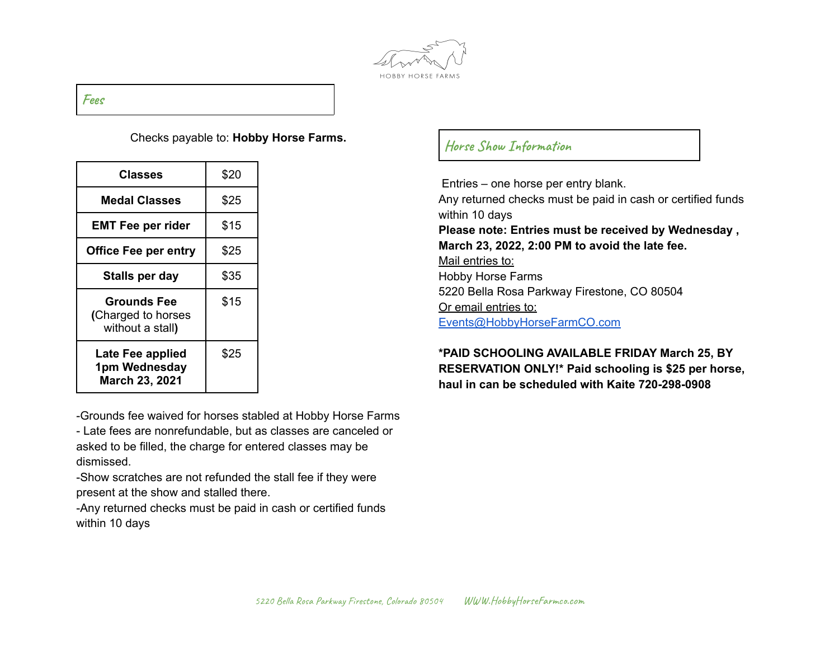

#### **Fees**

#### Checks payable to: **Hobby Horse Farms.**

| Classes                                                      | \$20 |
|--------------------------------------------------------------|------|
| <b>Medal Classes</b>                                         | \$25 |
| <b>EMT Fee per rider</b>                                     | \$15 |
| <b>Office Fee per entry</b>                                  | \$25 |
| Stalls per day                                               | \$35 |
| <b>Grounds Fee</b><br>(Charged to horses<br>without a stall) | \$15 |
| Late Fee applied<br>1pm Wednesday<br><b>March 23, 2021</b>   | \$25 |

-Grounds fee waived for horses stabled at Hobby Horse Farms - Late fees are nonrefundable, but as classes are canceled or

asked to be filled, the charge for entered classes may be dismissed.

-Show scratches are not refunded the stall fee if they were present at the show and stalled there.

-Any returned checks must be paid in cash or certified funds within 10 days

## **Horse Show Information**

Entries – one horse per entry blank. Any returned checks must be paid in cash or certified funds within 10 days **Please note: Entries must be received by Wednesday , March 23, 2022, 2:00 PM to avoid the late fee.** Mail entries to: Hobby Horse Farms 5220 Bella Rosa Parkway Firestone, CO 80504 Or email entries to: [Events@HobbyHorseFarmCO.com](mailto:Events@HobbyHorseFarmCO.com)

### **\*PAID SCHOOLING AVAILABLE FRIDAY March 25, BY RESERVATION ONLY!\* Paid schooling is \$25 per horse, haul in can be scheduled with Kaite 720-298-0908**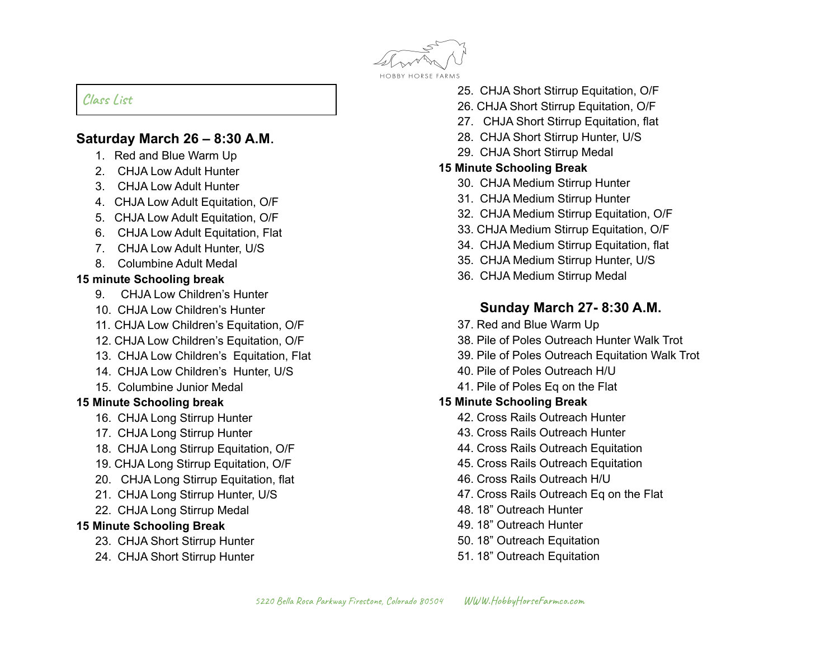

## **Class List**

## **Saturday March 26 – 8:30 A.M.**

- 1. Red and Blue Warm Up
- 2. CHJA Low Adult Hunter
- 3. CHJA Low Adult Hunter
- 4. CHJA Low Adult Equitation, O/F
- 5. CHJA Low Adult Equitation, O/F
- 6. CHJA Low Adult Equitation, Flat
- 7. CHJA Low Adult Hunter, U/S
- 8. Columbine Adult Medal

#### **15 minute Schooling break**

- 9. CHJA Low Children's Hunter
- 10. CHJA Low Children's Hunter
- 11. CHJA Low Children's Equitation, O/F
- 12. CHJA Low Children's Equitation, O/F
- 13. CHJA Low Children's Equitation, Flat
- 14. CHJA Low Children's Hunter, U/S
- 15. Columbine Junior Medal

## **15 Minute Schooling break**

- 16. CHJA Long Stirrup Hunter
- 17. CHJA Long Stirrup Hunter
- 18. CHJA Long Stirrup Equitation, O/F
- 19. CHJA Long Stirrup Equitation, O/F
- 20. CHJA Long Stirrup Equitation, flat
- 21. CHJA Long Stirrup Hunter, U/S
- 22. CHJA Long Stirrup Medal

#### **15 Minute Schooling Break**

- 23. CHJA Short Stirrup Hunter
- 24. CHJA Short Stirrup Hunter
- 25. CHJA Short Stirrup Equitation, O/F
- 26. CHJA Short Stirrup Equitation, O/F
- 27. CHJA Short Stirrup Equitation, flat
- 28. CHJA Short Stirrup Hunter, U/S
- 29. CHJA Short Stirrup Medal

### **15 Minute Schooling Break**

- 30. CHJA Medium Stirrup Hunter
- 31. CHJA Medium Stirrup Hunter
- 32. CHJA Medium Stirrup Equitation, O/F
- 33. CHJA Medium Stirrup Equitation, O/F
- 34. CHJA Medium Stirrup Equitation, flat
- 35. CHJA Medium Stirrup Hunter, U/S
- 36. CHJA Medium Stirrup Medal

# **Sunday March 27- 8:30 A.M.**

- 37. Red and Blue Warm Up
- 38. Pile of Poles Outreach Hunter Walk Trot
- 39. Pile of Poles Outreach Equitation Walk Trot
- 40. Pile of Poles Outreach H/U
- 41. Pile of Poles Eq on the Flat

## **15 Minute Schooling Break**

- 42. Cross Rails Outreach Hunter
- 43. Cross Rails Outreach Hunter
- 44. Cross Rails Outreach Equitation
- 45. Cross Rails Outreach Equitation
- 46. Cross Rails Outreach H/U
- 47. Cross Rails Outreach Eq on the Flat
- 48. 18" Outreach Hunter
- 49. 18" Outreach Hunter
- 50. 18" Outreach Equitation
- 51. 18" Outreach Equitation